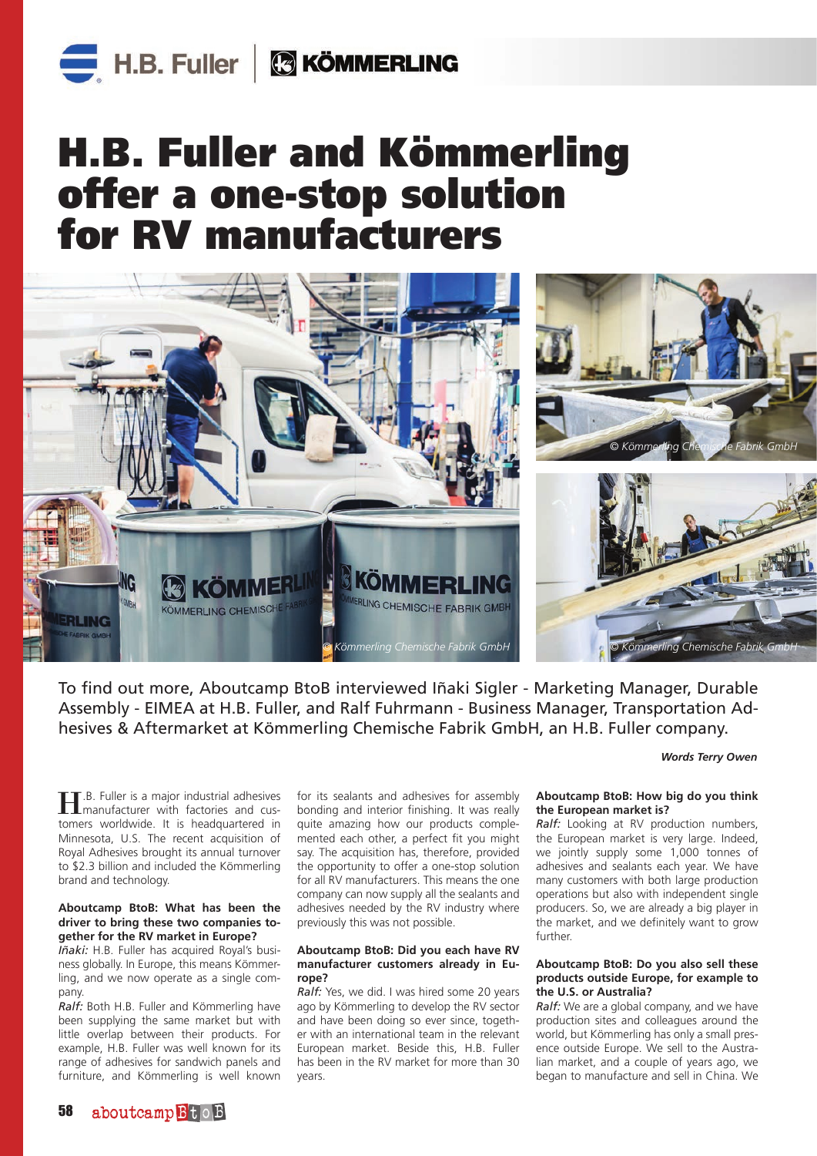# H.B. Fuller and Kömmerling offer a one-stop solution for RV manufacturers



To find out more, Aboutcamp BtoB interviewed Iñaki Sigler - Marketing Manager, Durable Assembly - EIMEA at H.B. Fuller, and Ralf Fuhrmann - Business Manager, Transportation Adhesives & Aftermarket at Kömmerling Chemische Fabrik GmbH, an H.B. Fuller company.

*Words Terry Owen*

H.B. Fuller is a major industrial adhesives manufacturer with factories and customers worldwide. It is headquartered in Minnesota, U.S. The recent acquisition of Royal Adhesives brought its annual turnover to \$2.3 billion and included the Kömmerling brand and technology.

#### **Aboutcamp BtoB: What has been the driver to bring these two companies together for the RV market in Europe?**

*Iñaki:* H.B. Fuller has acquired Royal's business globally. In Europe, this means Kömmerling, and we now operate as a single company.

*Ralf:* Both H.B. Fuller and Kömmerling have been supplying the same market but with little overlap between their products. For example, H.B. Fuller was well known for its range of adhesives for sandwich panels and furniture, and Kömmerling is well known

for its sealants and adhesives for assembly bonding and interior finishing. It was really quite amazing how our products complemented each other, a perfect fit you might say. The acquisition has, therefore, provided the opportunity to offer a one-stop solution for all RV manufacturers. This means the one company can now supply all the sealants and adhesives needed by the RV industry where previously this was not possible.

#### **Aboutcamp BtoB: Did you each have RV manufacturer customers already in Europe?**

*Ralf:* Yes, we did. I was hired some 20 years ago by Kömmerling to develop the RV sector and have been doing so ever since, together with an international team in the relevant European market. Beside this, H.B. Fuller has been in the RV market for more than 30 years.

#### **Aboutcamp BtoB: How big do you think the European market is?**

*Ralf:* Looking at RV production numbers, the European market is very large. Indeed, we jointly supply some 1,000 tonnes of adhesives and sealants each year. We have many customers with both large production operations but also with independent single producers. So, we are already a big player in the market, and we definitely want to grow further.

#### **Aboutcamp BtoB: Do you also sell these products outside Europe, for example to the U.S. or Australia?**

*Ralf:* We are a global company, and we have production sites and colleagues around the world, but Kömmerling has only a small presence outside Europe. We sell to the Australian market, and a couple of years ago, we began to manufacture and sell in China. We